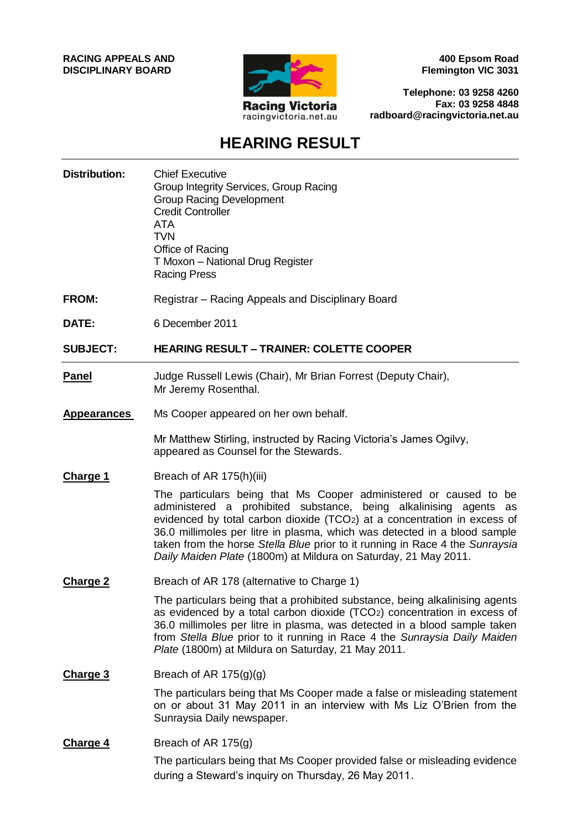**RACING APPEALS AND DISCIPLINARY BOARD**



**400 Epsom Road Flemington VIC 3031**

**Telephone: 03 9258 4260 Fax: 03 9258 4848 radboard@racingvictoria.net.au**

## **HEARING RESULT**

**Distribution:** Chief Executive Group Integrity Services, Group Racing Group Racing Development Credit Controller ATA TVN Office of Racing T Moxon – National Drug Register Racing Press **FROM:** Registrar – Racing Appeals and Disciplinary Board **DATE:** 6 December 2011 **SUBJECT: HEARING RESULT – TRAINER: COLETTE COOPER Panel** Judge Russell Lewis (Chair), Mr Brian Forrest (Deputy Chair), Mr Jeremy Rosenthal. **Appearances** Ms Cooper appeared on her own behalf. Mr Matthew Stirling, instructed by Racing Victoria's James Ogilvy, appeared as Counsel for the Stewards. **Charge 1** Breach of AR 175(h)(iii) The particulars being that Ms Cooper administered or caused to be administered a prohibited substance, being alkalinising agents as evidenced by total carbon dioxide (TCO2) at a concentration in excess of 36.0 millimoles per litre in plasma, which was detected in a blood sample taken from the horse *Stella Blue* prior to it running in Race 4 the *Sunraysia Daily Maiden Plate* (1800m) at Mildura on Saturday, 21 May 2011. **Charge 2** Breach of AR 178 (alternative to Charge 1) The particulars being that a prohibited substance, being alkalinising agents as evidenced by a total carbon dioxide (TCO2) concentration in excess of 36.0 millimoles per litre in plasma, was detected in a blood sample taken from *Stella Blue* prior to it running in Race 4 the *Sunraysia Daily Maiden Plate* (1800m) at Mildura on Saturday, 21 May 2011. **Charge 3** Breach of AR 175(g)(g) The particulars being that Ms Cooper made a false or misleading statement on or about 31 May 2011 in an interview with Ms Liz O'Brien from the Sunraysia Daily newspaper. **Charge 4** Breach of AR 175(g) The particulars being that Ms Cooper provided false or misleading evidence during a Steward's inquiry on Thursday, 26 May 2011.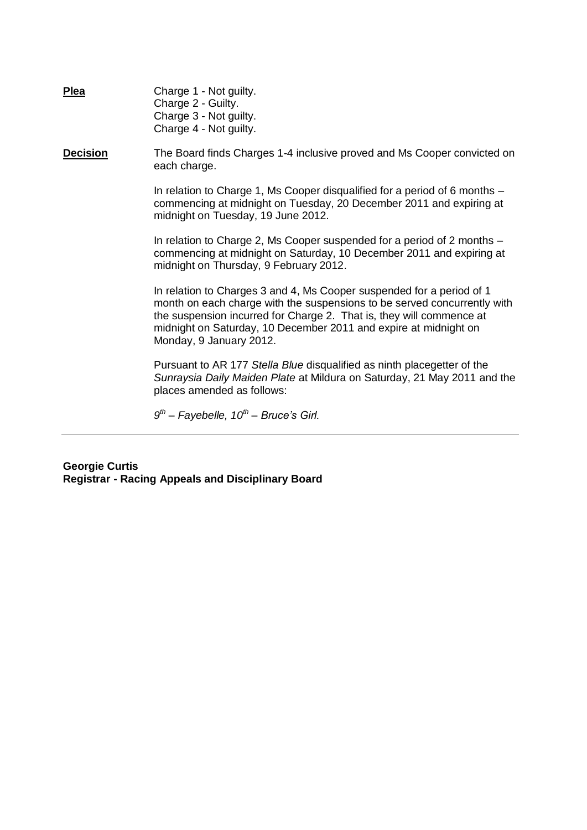| <b>Plea</b>     | Charge 1 - Not guilty.<br>Charge 2 - Guilty.<br>Charge 3 - Not guilty.<br>Charge 4 - Not guilty.                                                                                                                                                                                                                         |
|-----------------|--------------------------------------------------------------------------------------------------------------------------------------------------------------------------------------------------------------------------------------------------------------------------------------------------------------------------|
| <b>Decision</b> | The Board finds Charges 1-4 inclusive proved and Ms Cooper convicted on<br>each charge.                                                                                                                                                                                                                                  |
|                 | In relation to Charge 1, Ms Cooper disqualified for a period of 6 months -<br>commencing at midnight on Tuesday, 20 December 2011 and expiring at<br>midnight on Tuesday, 19 June 2012.                                                                                                                                  |
|                 | In relation to Charge 2, Ms Cooper suspended for a period of 2 months $-$<br>commencing at midnight on Saturday, 10 December 2011 and expiring at<br>midnight on Thursday, 9 February 2012.                                                                                                                              |
|                 | In relation to Charges 3 and 4, Ms Cooper suspended for a period of 1<br>month on each charge with the suspensions to be served concurrently with<br>the suspension incurred for Charge 2. That is, they will commence at<br>midnight on Saturday, 10 December 2011 and expire at midnight on<br>Monday, 9 January 2012. |
|                 | Pursuant to AR 177 Stella Blue disqualified as ninth placegetter of the<br>Sunraysia Daily Maiden Plate at Mildura on Saturday, 21 May 2011 and the<br>places amended as follows:                                                                                                                                        |
|                 | $9th$ – Fayebelle, 10 <sup>th</sup> – Bruce's Girl.                                                                                                                                                                                                                                                                      |

**Georgie Curtis Registrar - Racing Appeals and Disciplinary Board**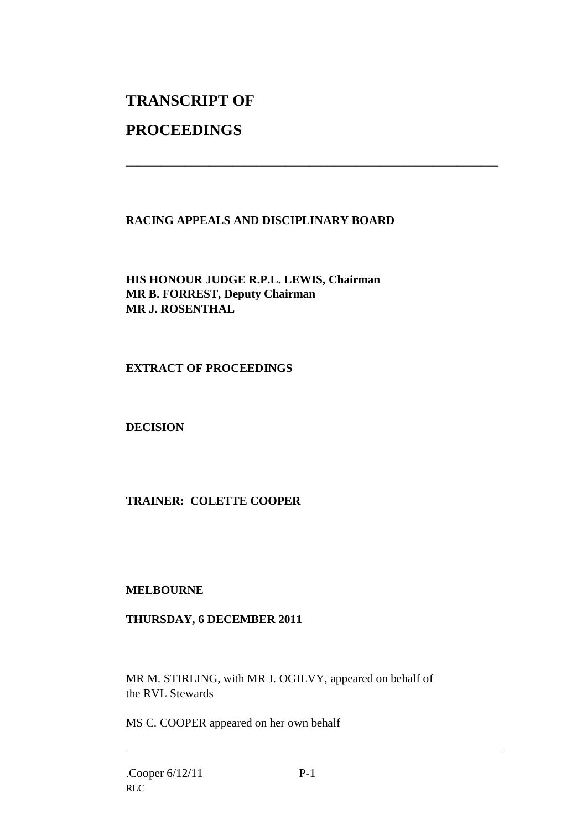# **TRANSCRIPT OF**

### **PROCEEDINGS**

#### **RACING APPEALS AND DISCIPLINARY BOARD**

\_\_\_\_\_\_\_\_\_\_\_\_\_\_\_\_\_\_\_\_\_\_\_\_\_\_\_\_\_\_\_\_\_\_\_\_\_\_\_\_\_\_\_\_\_\_\_\_\_\_\_\_\_\_\_\_\_\_\_\_\_\_\_

**HIS HONOUR JUDGE R.P.L. LEWIS, Chairman MR B. FORREST, Deputy Chairman MR J. ROSENTHAL**

#### **EXTRACT OF PROCEEDINGS**

**DECISION**

#### **TRAINER: COLETTE COOPER**

#### **MELBOURNE**

#### **THURSDAY, 6 DECEMBER 2011**

MR M. STIRLING, with MR J. OGILVY, appeared on behalf of the RVL Stewards

MS C. COOPER appeared on her own behalf